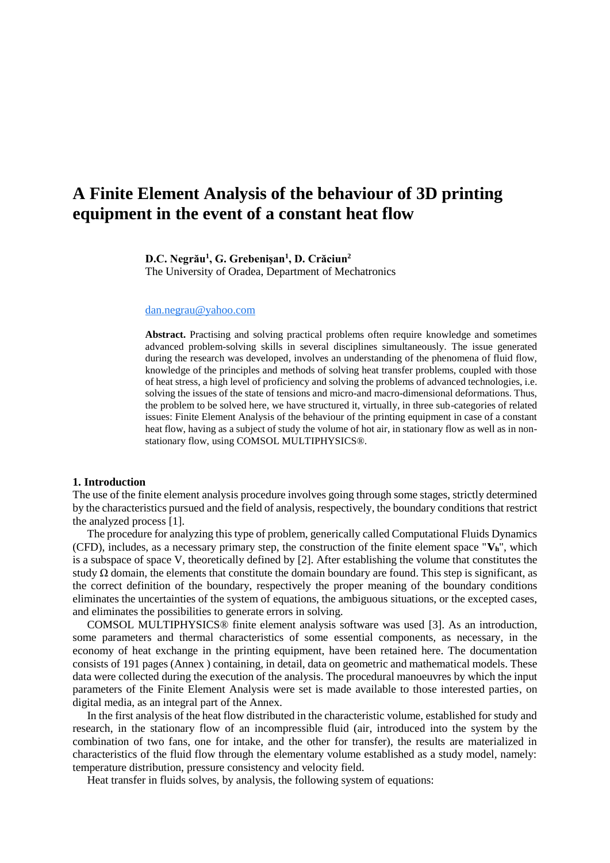# **A Finite Element Analysis of the behaviour of 3D printing equipment in the event of a constant heat flow**

**D.C. Negrău<sup>1</sup> , G. Grebenişan<sup>1</sup> , D. Crăciun<sup>2</sup>**

The University of Oradea, Department of Mechatronics

### [dan.negrau@yahoo.com](mailto:dan.negrau@yahoo.com)

**Abstract.** Practising and solving practical problems often require knowledge and sometimes advanced problem-solving skills in several disciplines simultaneously. The issue generated during the research was developed, involves an understanding of the phenomena of fluid flow, knowledge of the principles and methods of solving heat transfer problems, coupled with those of heat stress, a high level of proficiency and solving the problems of advanced technologies, i.e. solving the issues of the state of tensions and micro-and macro-dimensional deformations. Thus, the problem to be solved here, we have structured it, virtually, in three sub-categories of related issues: Finite Element Analysis of the behaviour of the printing equipment in case of a constant heat flow, having as a subject of study the volume of hot air, in stationary flow as well as in nonstationary flow, using COMSOL MULTIPHYSICS®.

#### **1. Introduction**

The use of the finite element analysis procedure involves going through some stages, strictly determined by the characteristics pursued and the field of analysis, respectively, the boundary conditions that restrict the analyzed process [1].

The procedure for analyzing this type of problem, generically called Computational Fluids Dynamics (CFD), includes, as a necessary primary step, the construction of the finite element space "**Vh**", which is a subspace of space V, theoretically defined by [2]. After establishing the volume that constitutes the study  $\Omega$  domain, the elements that constitute the domain boundary are found. This step is significant, as the correct definition of the boundary, respectively the proper meaning of the boundary conditions eliminates the uncertainties of the system of equations, the ambiguous situations, or the excepted cases, and eliminates the possibilities to generate errors in solving.

COMSOL MULTIPHYSICS® finite element analysis software was used [3]. As an introduction, some parameters and thermal characteristics of some essential components, as necessary, in the economy of heat exchange in the printing equipment, have been retained here. The documentation consists of 191 pages (Annex ) containing, in detail, data on geometric and mathematical models. These data were collected during the execution of the analysis. The procedural manoeuvres by which the input parameters of the Finite Element Analysis were set is made available to those interested parties, on digital media, as an integral part of the Annex.

In the first analysis of the heat flow distributed in the characteristic volume, established for study and research, in the stationary flow of an incompressible fluid (air, introduced into the system by the combination of two fans, one for intake, and the other for transfer), the results are materialized in characteristics of the fluid flow through the elementary volume established as a study model, namely: temperature distribution, pressure consistency and velocity field.

Heat transfer in fluids solves, by analysis, the following system of equations: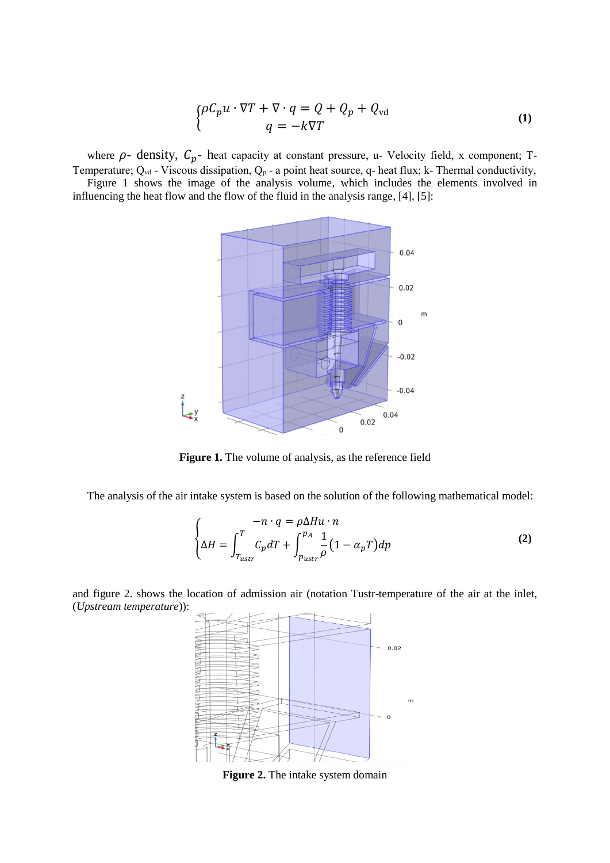$$
\begin{cases}\n\rho C_p u \cdot \nabla T + \nabla \cdot q = Q + Q_p + Q_{\text{vd}} \\
q = -k \nabla T\n\end{cases} \tag{1}
$$

where  $\rho$ - density,  $C_p$ - heat capacity at constant pressure, u- Velocity field, x component; T-Temperature;  $Q_{vd}$  - Viscous dissipation,  $Q_p$  - a point heat source, q- heat flux; k- Thermal conductivity,

Figure 1 shows the image of the analysis volume, which includes the elements involved in influencing the heat flow and the flow of the fluid in the analysis range, [4], [5]:



**Figure 1.** The volume of analysis, as the reference field

The analysis of the air intake system is based on the solution of the following mathematical model:

$$
\begin{cases}\n-n \cdot q = \rho \Delta H u \cdot n \\
\Delta H = \int_{T_{\text{ustr}}}^{T} C_p dT + \int_{p_{\text{ustr}}}^{p_A} \frac{1}{\rho} (1 - \alpha_p T) dp\n\end{cases}
$$
\n(2)

and figure 2. shows the location of admission air (notation Tustr-temperature of the air at the inlet, (*Upstream temperature*)):



**Figure 2.** The intake system domain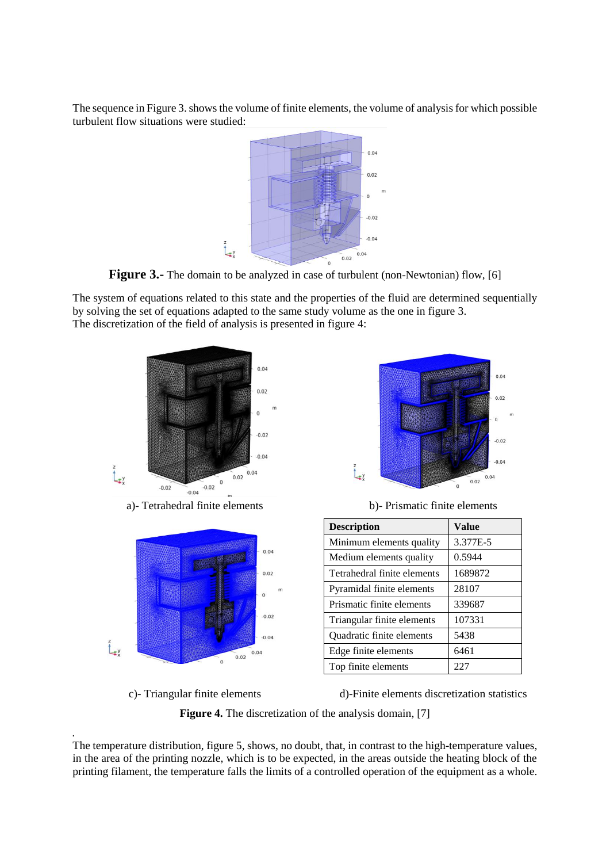The sequence in Figure 3. shows the volume of finite elements, the volume of analysis for which possible turbulent flow situations were studied:



**Figure 3.-** The domain to be analyzed in case of turbulent (non-Newtonian) flow, [6]

The system of equations related to this state and the properties of the fluid are determined sequentially by solving the set of equations adapted to the same study volume as the one in figure 3. The discretization of the field of analysis is presented in figure 4:





| <b>Description</b>          | <b>Value</b> |
|-----------------------------|--------------|
| Minimum elements quality    | 3.377E-5     |
| Medium elements quality     | 0.5944       |
| Tetrahedral finite elements | 1689872      |
| Pyramidal finite elements   | 28107        |
| Prismatic finite elements   | 339687       |
| Triangular finite elements  | 107331       |
| Quadratic finite elements   | 5438         |
| Edge finite elements        | 6461         |
| Top finite elements         | 227          |

.

 $\sum_{x}^{z}$ 

c)- Triangular finite elements d)-Finite elements discretization statistics

**Figure 4.** The discretization of the analysis domain, [7]

 $-0.04$ 

 $0.04$  $0.02$  $\overline{0}$ 

The temperature distribution, figure 5, shows, no doubt, that, in contrast to the high-temperature values, in the area of the printing nozzle, which is to be expected, in the areas outside the heating block of the printing filament, the temperature falls the limits of a controlled operation of the equipment as a whole.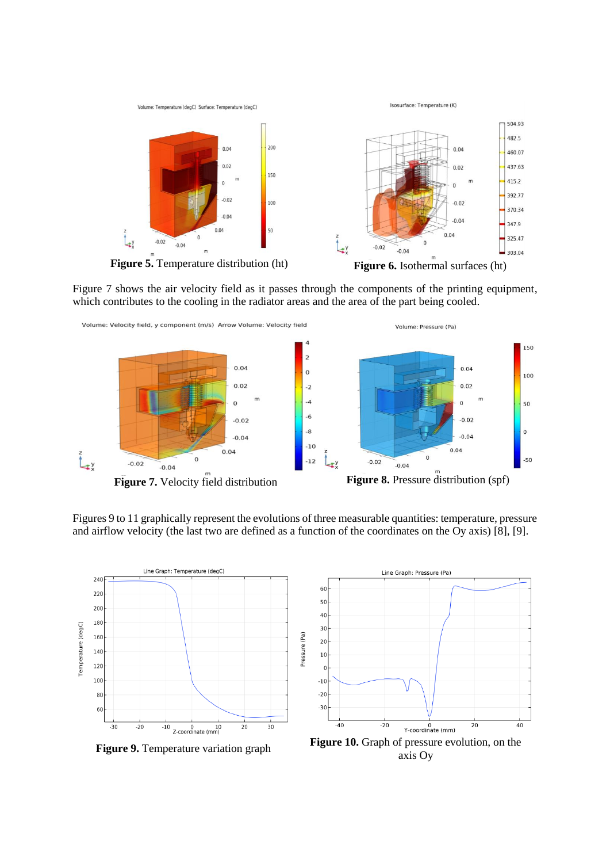

Figure 7 shows the air velocity field as it passes through the components of the printing equipment, which contributes to the cooling in the radiator areas and the area of the part being cooled.



Figures 9 to 11 graphically represent the evolutions of three measurable quantities: temperature, pressure and airflow velocity (the last two are defined as a function of the coordinates on the Oy axis) [8], [9].





**Figure 9.** Temperature variation graph **Figure 10.** Graph of pressure evolution, on the axis Oy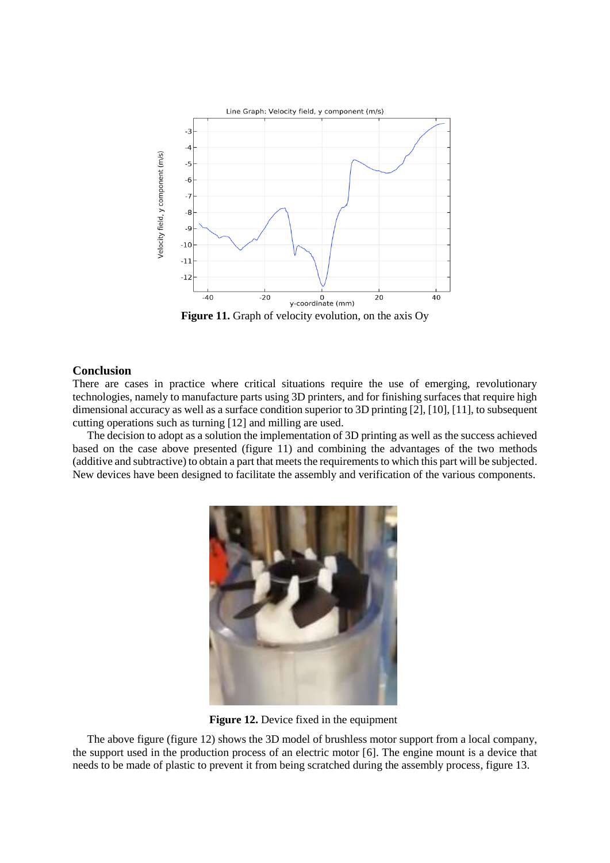

Figure 11. Graph of velocity evolution, on the axis Oy

## **Conclusion**

There are cases in practice where critical situations require the use of emerging, revolutionary technologies, namely to manufacture parts using 3D printers, and for finishing surfaces that require high dimensional accuracy as well as a surface condition superior to 3D printing [2], [10], [11], to subsequent cutting operations such as turning [12] and milling are used.

The decision to adopt as a solution the implementation of 3D printing as well as the success achieved based on the case above presented (figure 11) and combining the advantages of the two methods (additive and subtractive) to obtain a part that meets the requirements to which this part will be subjected. New devices have been designed to facilitate the assembly and verification of the various components.



**Figure 12.** Device fixed in the equipment

The above figure (figure 12) shows the 3D model of brushless motor support from a local company, the support used in the production process of an electric motor [6]. The engine mount is a device that needs to be made of plastic to prevent it from being scratched during the assembly process, figure 13.